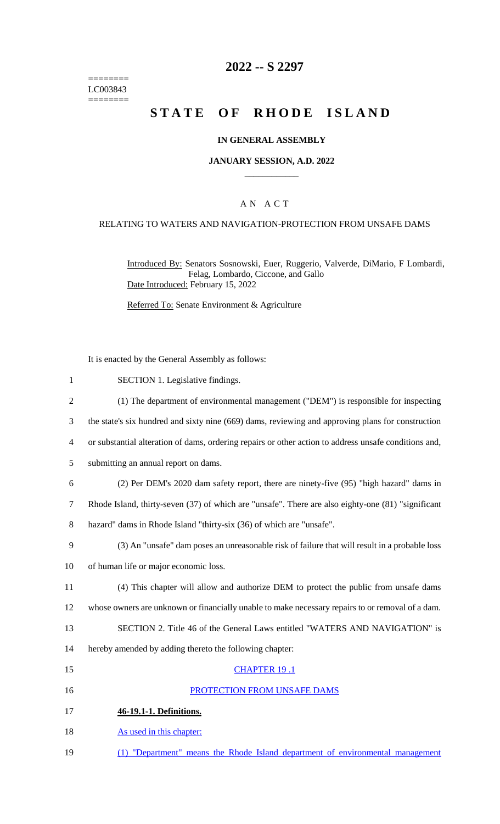======== LC003843 ========

### **2022 -- S 2297**

# **STATE OF RHODE ISLAND**

#### **IN GENERAL ASSEMBLY**

#### **JANUARY SESSION, A.D. 2022 \_\_\_\_\_\_\_\_\_\_\_\_**

### A N A C T

#### RELATING TO WATERS AND NAVIGATION-PROTECTION FROM UNSAFE DAMS

Introduced By: Senators Sosnowski, Euer, Ruggerio, Valverde, DiMario, F Lombardi, Felag, Lombardo, Ciccone, and Gallo Date Introduced: February 15, 2022

Referred To: Senate Environment & Agriculture

It is enacted by the General Assembly as follows:

- 1 SECTION 1. Legislative findings.
- 2 (1) The department of environmental management ("DEM") is responsible for inspecting
- 3 the state's six hundred and sixty nine (669) dams, reviewing and approving plans for construction
- 4 or substantial alteration of dams, ordering repairs or other action to address unsafe conditions and,
- 5 submitting an annual report on dams.
- 6 (2) Per DEM's 2020 dam safety report, there are ninety-five (95) "high hazard" dams in
- 7 Rhode Island, thirty-seven (37) of which are "unsafe". There are also eighty-one (81) "significant
- 8 hazard" dams in Rhode Island "thirty-six (36) of which are "unsafe".
- 9 (3) An "unsafe" dam poses an unreasonable risk of failure that will result in a probable loss
- 10 of human life or major economic loss.
- 11 (4) This chapter will allow and authorize DEM to protect the public from unsafe dams 12 whose owners are unknown or financially unable to make necessary repairs to or removal of a dam.
- 13 SECTION 2. Title 46 of the General Laws entitled "WATERS AND NAVIGATION" is
- 14 hereby amended by adding thereto the following chapter:
- 15 CHAPTER 19 .1 16 PROTECTION FROM UNSAFE DAMS 17 **46-19.1-1. Definitions.** 18 As used in this chapter:
- 19 (1) "Department" means the Rhode Island department of environmental management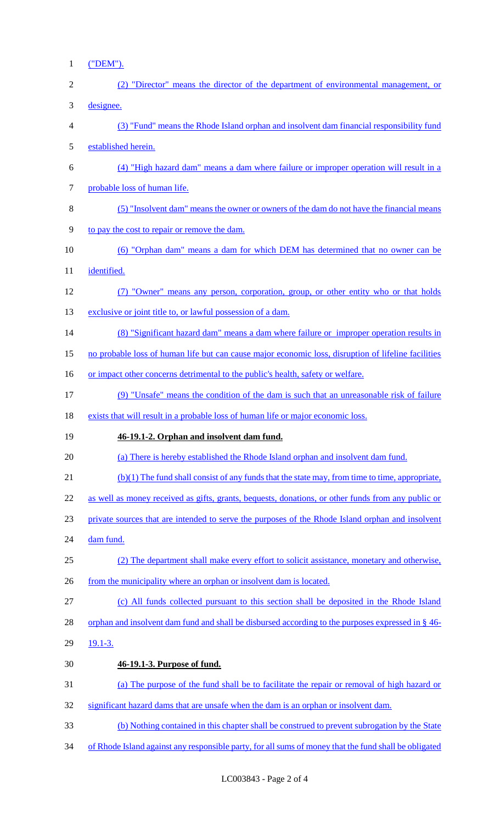1 ("DEM").

| $\overline{2}$ | (2) "Director" means the director of the department of environmental management, or                 |
|----------------|-----------------------------------------------------------------------------------------------------|
| 3              | designee.                                                                                           |
| 4              | (3) "Fund" means the Rhode Island orphan and insolvent dam financial responsibility fund            |
| 5              | established herein.                                                                                 |
| 6              | (4) "High hazard dam" means a dam where failure or improper operation will result in a              |
| 7              | probable loss of human life.                                                                        |
| 8              | (5) "Insolvent dam" means the owner or owners of the dam do not have the financial means            |
| 9              | to pay the cost to repair or remove the dam.                                                        |
| 10             | (6) "Orphan dam" means a dam for which DEM has determined that no owner can be                      |
| 11             | identified.                                                                                         |
| 12             | (7) "Owner" means any person, corporation, group, or other entity who or that holds                 |
| 13             | exclusive or joint title to, or lawful possession of a dam.                                         |
| 14             | (8) "Significant hazard dam" means a dam where failure or improper operation results in             |
| 15             | no probable loss of human life but can cause major economic loss, disruption of lifeline facilities |
| 16             | or impact other concerns detrimental to the public's health, safety or welfare.                     |
| 17             | (9) "Unsafe" means the condition of the dam is such that an unreasonable risk of failure            |
| 18             | exists that will result in a probable loss of human life or major economic loss.                    |
| 19             | 46-19.1-2. Orphan and insolvent dam fund.                                                           |
| 20             | (a) There is hereby established the Rhode Island orphan and insolvent dam fund.                     |
| 21             | (b)(1) The fund shall consist of any funds that the state may, from time to time, appropriate,      |
| 22             | as well as money received as gifts, grants, bequests, donations, or other funds from any public or  |
| 23             | private sources that are intended to serve the purposes of the Rhode Island orphan and insolvent    |
| 24             | dam fund.                                                                                           |
| 25             | (2) The department shall make every effort to solicit assistance, monetary and otherwise,           |
| 26             | from the municipality where an orphan or insolvent dam is located.                                  |
| 27             | (c) All funds collected pursuant to this section shall be deposited in the Rhode Island             |
| 28             | orphan and insolvent dam fund and shall be disbursed according to the purposes expressed in § 46-   |
| 29             | $19.1 - 3.$                                                                                         |
| 30             | 46-19.1-3. Purpose of fund.                                                                         |
| 31             | (a) The purpose of the fund shall be to facilitate the repair or removal of high hazard or          |
| 32             | significant hazard dams that are unsafe when the dam is an orphan or insolvent dam.                 |
| 33             | (b) Nothing contained in this chapter shall be construed to prevent subrogation by the State        |
|                |                                                                                                     |

34 of Rhode Island against any responsible party, for all sums of money that the fund shall be obligated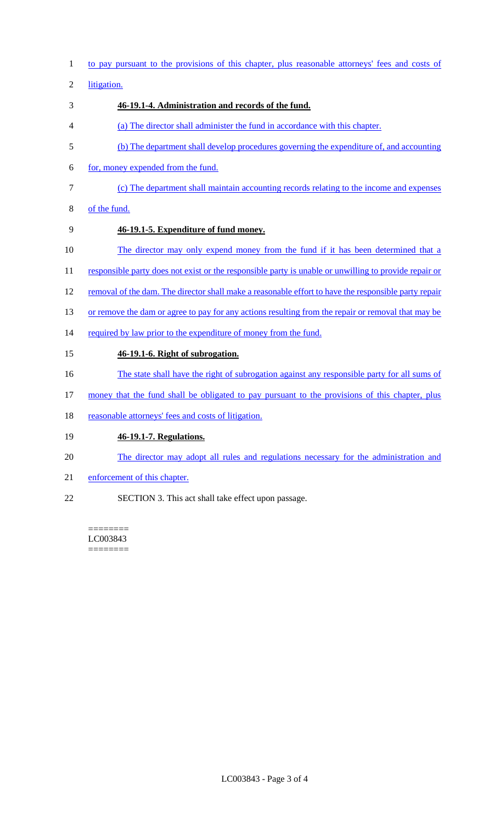1 to pay pursuant to the provisions of this chapter, plus reasonable attorneys' fees and costs of

2 litigation.

# 3 **46-19.1-4. Administration and records of the fund.**

- 4 (a) The director shall administer the fund in accordance with this chapter.
- 5 (b) The department shall develop procedures governing the expenditure of, and accounting
- 6 for, money expended from the fund.
- 7 (c) The department shall maintain accounting records relating to the income and expenses
- 8 of the fund.
- 9 **46-19.1-5. Expenditure of fund money.**
- 10 The director may only expend money from the fund if it has been determined that a
- 11 responsible party does not exist or the responsible party is unable or unwilling to provide repair or
- 12 removal of the dam. The director shall make a reasonable effort to have the responsible party repair
- 13 or remove the dam or agree to pay for any actions resulting from the repair or removal that may be
- 14 required by law prior to the expenditure of money from the fund.

# 15 **46-19.1-6. Right of subrogation.**

- 16 The state shall have the right of subrogation against any responsible party for all sums of
- 17 money that the fund shall be obligated to pay pursuant to the provisions of this chapter, plus
- 18 reasonable attorneys' fees and costs of litigation.

# 19 **46-19.1-7. Regulations.**

- 20 The director may adopt all rules and regulations necessary for the administration and
- 21 enforcement of this chapter.
- 22 SECTION 3. This act shall take effect upon passage.

======== LC003843 ========